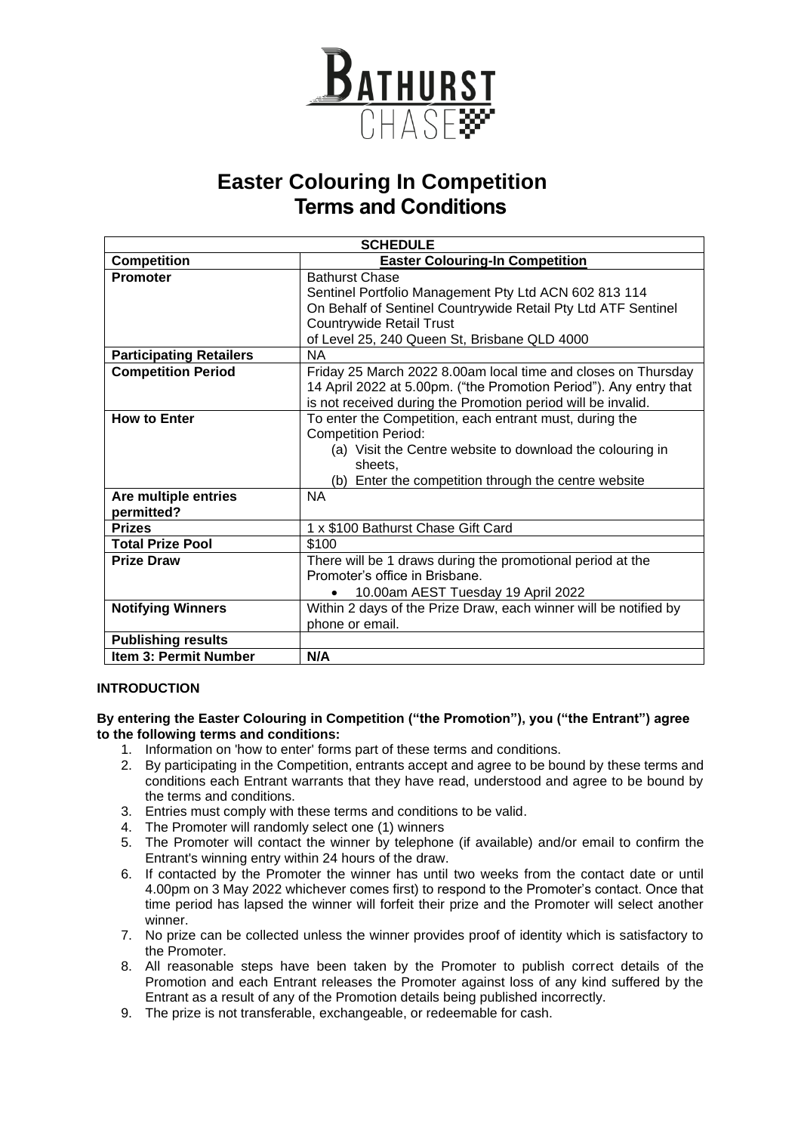

## **Easter Colouring In Competition Terms and Conditions**

| <b>SCHEDULE</b>                    |                                                                                                                                                                                                                                    |
|------------------------------------|------------------------------------------------------------------------------------------------------------------------------------------------------------------------------------------------------------------------------------|
| <b>Competition</b>                 | <b>Easter Colouring-In Competition</b>                                                                                                                                                                                             |
| <b>Promoter</b>                    | <b>Bathurst Chase</b><br>Sentinel Portfolio Management Pty Ltd ACN 602 813 114<br>On Behalf of Sentinel Countrywide Retail Pty Ltd ATF Sentinel<br><b>Countrywide Retail Trust</b><br>of Level 25, 240 Queen St, Brisbane QLD 4000 |
| <b>Participating Retailers</b>     | <b>NA</b>                                                                                                                                                                                                                          |
| <b>Competition Period</b>          | Friday 25 March 2022 8.00am local time and closes on Thursday<br>14 April 2022 at 5.00pm. ("the Promotion Period"). Any entry that<br>is not received during the Promotion period will be invalid.                                 |
| <b>How to Enter</b>                | To enter the Competition, each entrant must, during the<br><b>Competition Period:</b><br>(a) Visit the Centre website to download the colouring in<br>sheets.<br>(b) Enter the competition through the centre website              |
| Are multiple entries<br>permitted? | <b>NA</b>                                                                                                                                                                                                                          |
| <b>Prizes</b>                      | 1 x \$100 Bathurst Chase Gift Card                                                                                                                                                                                                 |
| <b>Total Prize Pool</b>            | \$100                                                                                                                                                                                                                              |
| <b>Prize Draw</b>                  | There will be 1 draws during the promotional period at the<br>Promoter's office in Brisbane.<br>10.00am AEST Tuesday 19 April 2022<br>$\bullet$                                                                                    |
| <b>Notifying Winners</b>           | Within 2 days of the Prize Draw, each winner will be notified by<br>phone or email.                                                                                                                                                |
| <b>Publishing results</b>          |                                                                                                                                                                                                                                    |
| <b>Item 3: Permit Number</b>       | N/A                                                                                                                                                                                                                                |

### **INTRODUCTION**

#### **By entering the Easter Colouring in Competition ("the Promotion"), you ("the Entrant") agree to the following terms and conditions:**

- 1. Information on 'how to enter' forms part of these terms and conditions.
- 2. By participating in the Competition, entrants accept and agree to be bound by these terms and conditions each Entrant warrants that they have read, understood and agree to be bound by the terms and conditions.
- 3. Entries must comply with these terms and conditions to be valid.
- 4. The Promoter will randomly select one (1) winners
- 5. The Promoter will contact the winner by telephone (if available) and/or email to confirm the Entrant's winning entry within 24 hours of the draw.
- 6. If contacted by the Promoter the winner has until two weeks from the contact date or until 4.00pm on 3 May 2022 whichever comes first) to respond to the Promoter's contact. Once that time period has lapsed the winner will forfeit their prize and the Promoter will select another winner.
- 7. No prize can be collected unless the winner provides proof of identity which is satisfactory to the Promoter.
- 8. All reasonable steps have been taken by the Promoter to publish correct details of the Promotion and each Entrant releases the Promoter against loss of any kind suffered by the Entrant as a result of any of the Promotion details being published incorrectly.
- 9. The prize is not transferable, exchangeable, or redeemable for cash.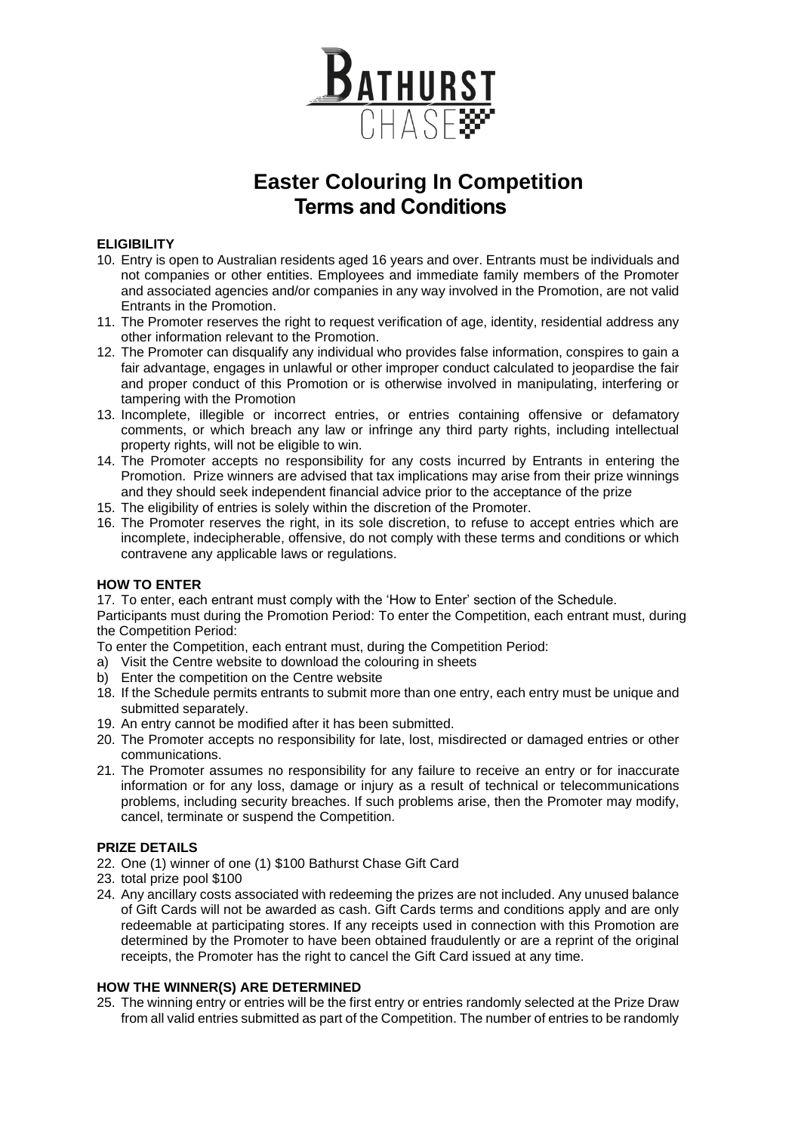

# **Easter Colouring In Competition Terms and Conditions**

### **ELIGIBILITY**

- 10. Entry is open to Australian residents aged 16 years and over. Entrants must be individuals and not companies or other entities. Employees and immediate family members of the Promoter and associated agencies and/or companies in any way involved in the Promotion, are not valid Entrants in the Promotion.
- 11. The Promoter reserves the right to request verification of age, identity, residential address any other information relevant to the Promotion.
- 12. The Promoter can disqualify any individual who provides false information, conspires to gain a fair advantage, engages in unlawful or other improper conduct calculated to jeopardise the fair and proper conduct of this Promotion or is otherwise involved in manipulating, interfering or tampering with the Promotion
- 13. Incomplete, illegible or incorrect entries, or entries containing offensive or defamatory comments, or which breach any law or infringe any third party rights, including intellectual property rights, will not be eligible to win.
- 14. The Promoter accepts no responsibility for any costs incurred by Entrants in entering the Promotion. Prize winners are advised that tax implications may arise from their prize winnings and they should seek independent financial advice prior to the acceptance of the prize
- 15. The eligibility of entries is solely within the discretion of the Promoter.
- 16. The Promoter reserves the right, in its sole discretion, to refuse to accept entries which are incomplete, indecipherable, offensive, do not comply with these terms and conditions or which contravene any applicable laws or regulations.

### **HOW TO ENTER**

17. To enter, each entrant must comply with the 'How to Enter' section of the Schedule.

Participants must during the Promotion Period: To enter the Competition, each entrant must, during the Competition Period:

To enter the Competition, each entrant must, during the Competition Period:

- a) Visit the Centre website to download the colouring in sheets
- b) Enter the competition on the Centre website
- 18. If the Schedule permits entrants to submit more than one entry, each entry must be unique and submitted separately.
- 19. An entry cannot be modified after it has been submitted.
- 20. The Promoter accepts no responsibility for late, lost, misdirected or damaged entries or other communications.
- 21. The Promoter assumes no responsibility for any failure to receive an entry or for inaccurate information or for any loss, damage or injury as a result of technical or telecommunications problems, including security breaches. If such problems arise, then the Promoter may modify, cancel, terminate or suspend the Competition.

### **PRIZE DETAILS**

- 22. One (1) winner of one (1) \$100 Bathurst Chase Gift Card
- 23. total prize pool \$100
- 24. Any ancillary costs associated with redeeming the prizes are not included. Any unused balance of Gift Cards will not be awarded as cash. Gift Cards terms and conditions apply and are only redeemable at participating stores. If any receipts used in connection with this Promotion are determined by the Promoter to have been obtained fraudulently or are a reprint of the original receipts, the Promoter has the right to cancel the Gift Card issued at any time.

### **HOW THE WINNER(S) ARE DETERMINED**

25. The winning entry or entries will be the first entry or entries randomly selected at the Prize Draw from all valid entries submitted as part of the Competition. The number of entries to be randomly